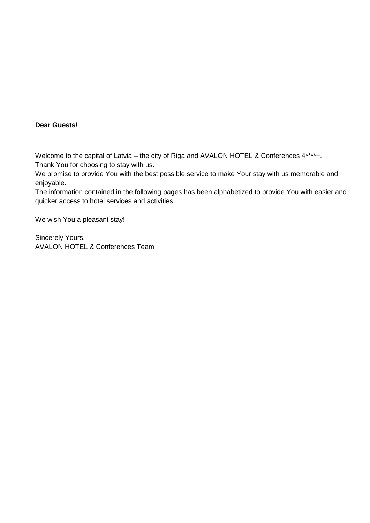### **Dear Guests!**

Welcome to the capital of Latvia – the city of Riga and AVALON HOTEL & Conferences  $4***+$ . Thank You for choosing to stay with us.

We promise to provide You with the best possible service to make Your stay with us memorable and enjoyable.

The information contained in the following pages has been alphabetized to provide You with easier and quicker access to hotel services and activities.

We wish You a pleasant stay!

Sincerely Yours, AVALON HOTEL & Conferences Team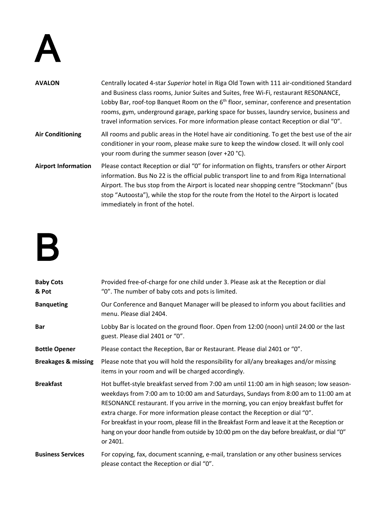

| <b>AVALON</b>              | Centrally located 4-star Superior hotel in Riga Old Town with 111 air-conditioned Standard<br>and Business class rooms, Junior Suites and Suites, free Wi-Fi, restaurant RESONANCE,<br>Lobby Bar, roof-top Banquet Room on the 6 <sup>th</sup> floor, seminar, conference and presentation<br>rooms, gym, underground garage, parking space for busses, laundry service, business and<br>travel information services. For more information please contact Reception or dial "0". |
|----------------------------|----------------------------------------------------------------------------------------------------------------------------------------------------------------------------------------------------------------------------------------------------------------------------------------------------------------------------------------------------------------------------------------------------------------------------------------------------------------------------------|
| <b>Air Conditioning</b>    | All rooms and public areas in the Hotel have air conditioning. To get the best use of the air<br>conditioner in your room, please make sure to keep the window closed. It will only cool<br>your room during the summer season (over +20 °C).                                                                                                                                                                                                                                    |
| <b>Airport Information</b> | Please contact Reception or dial "0" for information on flights, transfers or other Airport<br>information. Bus No 22 is the official public transport line to and from Riga International<br>Airport. The bus stop from the Airport is located near shopping centre "Stockmann" (bus<br>stop "Autoosta"), while the stop for the route from the Hotel to the Airport is located<br>immediately in front of the hotel.                                                           |

## B

| <b>Baby Cots</b><br>& Pot      | Provided free-of-charge for one child under 3. Please ask at the Reception or dial<br>"0". The number of baby cots and pots is limited.                                                                                                                                                                                                                                                                                                                                                                                                                                 |
|--------------------------------|-------------------------------------------------------------------------------------------------------------------------------------------------------------------------------------------------------------------------------------------------------------------------------------------------------------------------------------------------------------------------------------------------------------------------------------------------------------------------------------------------------------------------------------------------------------------------|
| <b>Banqueting</b>              | Our Conference and Banquet Manager will be pleased to inform you about facilities and<br>menu. Please dial 2404.                                                                                                                                                                                                                                                                                                                                                                                                                                                        |
| <b>Bar</b>                     | Lobby Bar is located on the ground floor. Open from 12:00 (noon) until 24:00 or the last<br>guest. Please dial 2401 or "0".                                                                                                                                                                                                                                                                                                                                                                                                                                             |
| <b>Bottle Opener</b>           | Please contact the Reception, Bar or Restaurant. Please dial 2401 or "0".                                                                                                                                                                                                                                                                                                                                                                                                                                                                                               |
| <b>Breakages &amp; missing</b> | Please note that you will hold the responsibility for all/any breakages and/or missing<br>items in your room and will be charged accordingly.                                                                                                                                                                                                                                                                                                                                                                                                                           |
| <b>Breakfast</b>               | Hot buffet-style breakfast served from 7:00 am until 11:00 am in high season; low season-<br>weekdays from 7:00 am to 10:00 am and Saturdays, Sundays from 8:00 am to 11:00 am at<br>RESONANCE restaurant. If you arrive in the morning, you can enjoy breakfast buffet for<br>extra charge. For more information please contact the Reception or dial "0".<br>For breakfast in your room, please fill in the Breakfast Form and leave it at the Reception or<br>hang on your door handle from outside by 10:00 pm on the day before breakfast, or dial "0"<br>or 2401. |
| <b>Business Services</b>       | For copying, fax, document scanning, e-mail, translation or any other business services<br>please contact the Reception or dial "0".                                                                                                                                                                                                                                                                                                                                                                                                                                    |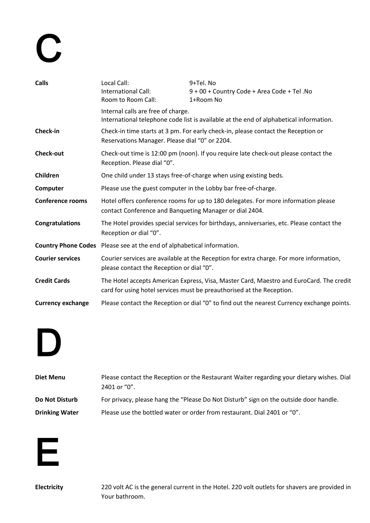# C

| <b>Calls</b>             | Local Call:<br>International Call:<br>Room to Room Call:               | 9+Tel. No<br>9 + 00 + Country Code + Area Code + Tel. No<br>1+Room No                                                                                            |
|--------------------------|------------------------------------------------------------------------|------------------------------------------------------------------------------------------------------------------------------------------------------------------|
|                          | Internal calls are free of charge.                                     | International telephone code list is available at the end of alphabetical information.                                                                           |
| Check-in                 | Reservations Manager. Please dial "0" or 2204.                         | Check-in time starts at 3 pm. For early check-in, please contact the Reception or                                                                                |
| <b>Check-out</b>         | Reception. Please dial "0".                                            | Check-out time is 12:00 pm (noon). If you require late check-out please contact the                                                                              |
| Children                 |                                                                        | One child under 13 stays free-of-charge when using existing beds.                                                                                                |
| Computer                 |                                                                        | Please use the guest computer in the Lobby bar free-of-charge.                                                                                                   |
| <b>Conference rooms</b>  | contact Conference and Banqueting Manager or dial 2404.                | Hotel offers conference rooms for up to 180 delegates. For more information please                                                                               |
| <b>Congratulations</b>   | Reception or dial "0".                                                 | The Hotel provides special services for birthdays, anniversaries, etc. Please contact the                                                                        |
|                          | Country Phone Codes Please see at the end of alphabetical information. |                                                                                                                                                                  |
| <b>Courier services</b>  | please contact the Reception or dial "0".                              | Courier services are available at the Reception for extra charge. For more information,                                                                          |
| <b>Credit Cards</b>      |                                                                        | The Hotel accepts American Express, Visa, Master Card, Maestro and EuroCard. The credit<br>card for using hotel services must be preauthorised at the Reception. |
| <b>Currency exchange</b> |                                                                        | Please contact the Reception or dial "0" to find out the nearest Currency exchange points.                                                                       |
|                          |                                                                        |                                                                                                                                                                  |

## D

| Diet Menu             | Please contact the Reception or the Restaurant Waiter regarding your dietary wishes. Dial<br>2401 or "0". |
|-----------------------|-----------------------------------------------------------------------------------------------------------|
| Do Not Disturb        | For privacy, please hang the "Please Do Not Disturb" sign on the outside door handle.                     |
| <b>Drinking Water</b> | Please use the bottled water or order from restaurant. Dial 2401 or "0".                                  |



**Electricity** 220 volt AC is the general current in the Hotel. 220 volt outlets for shavers are provided in Your bathroom.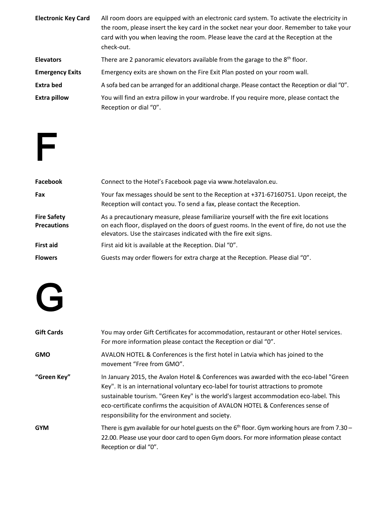| <b>Electronic Key Card</b> | All room doors are equipped with an electronic card system. To activate the electricity in<br>the room, please insert the key card in the socket near your door. Remember to take your<br>card with you when leaving the room. Please leave the card at the Reception at the<br>check-out. |
|----------------------------|--------------------------------------------------------------------------------------------------------------------------------------------------------------------------------------------------------------------------------------------------------------------------------------------|
| <b>Elevators</b>           | There are 2 panoramic elevators available from the garage to the 8 <sup>th</sup> floor.                                                                                                                                                                                                    |
| <b>Emergency Exits</b>     | Emergency exits are shown on the Fire Exit Plan posted on your room wall.                                                                                                                                                                                                                  |
| <b>Extra bed</b>           | A sofa bed can be arranged for an additional charge. Please contact the Reception or dial "0".                                                                                                                                                                                             |
| <b>Extra pillow</b>        | You will find an extra pillow in your wardrobe. If you require more, please contact the<br>Reception or dial "0".                                                                                                                                                                          |



| Facebook                                 | Connect to the Hotel's Facebook page via www.hotelavalon.eu.                                                                                                                                                                                            |
|------------------------------------------|---------------------------------------------------------------------------------------------------------------------------------------------------------------------------------------------------------------------------------------------------------|
| Fax                                      | Your fax messages should be sent to the Reception at +371-67160751. Upon receipt, the<br>Reception will contact you. To send a fax, please contact the Reception.                                                                                       |
| <b>Fire Safety</b><br><b>Precautions</b> | As a precautionary measure, please familiarize yourself with the fire exit locations<br>on each floor, displayed on the doors of guest rooms. In the event of fire, do not use the<br>elevators. Use the staircases indicated with the fire exit signs. |
| <b>First aid</b>                         | First aid kit is available at the Reception. Dial "0".                                                                                                                                                                                                  |
| <b>Flowers</b>                           | Guests may order flowers for extra charge at the Reception. Please dial "0".                                                                                                                                                                            |

## G

| <b>Gift Cards</b> | You may order Gift Certificates for accommodation, restaurant or other Hotel services.<br>For more information please contact the Reception or dial "0".                                                                                                                                                                                                                                                    |
|-------------------|-------------------------------------------------------------------------------------------------------------------------------------------------------------------------------------------------------------------------------------------------------------------------------------------------------------------------------------------------------------------------------------------------------------|
| <b>GMO</b>        | AVALON HOTEL & Conferences is the first hotel in Latvia which has joined to the<br>movement "Free from GMO".                                                                                                                                                                                                                                                                                                |
| "Green Key"       | In January 2015, the Avalon Hotel & Conferences was awarded with the eco-label "Green<br>Key". It is an international voluntary eco-label for tourist attractions to promote<br>sustainable tourism. "Green Key" is the world's largest accommodation eco-label. This<br>eco-certificate confirms the acquisition of AVALON HOTEL & Conferences sense of<br>responsibility for the environment and society. |
| <b>GYM</b>        | There is gym available for our hotel guests on the $6th$ floor. Gym working hours are from 7.30 -<br>22.00. Please use your door card to open Gym doors. For more information please contact<br>Reception or dial "0".                                                                                                                                                                                      |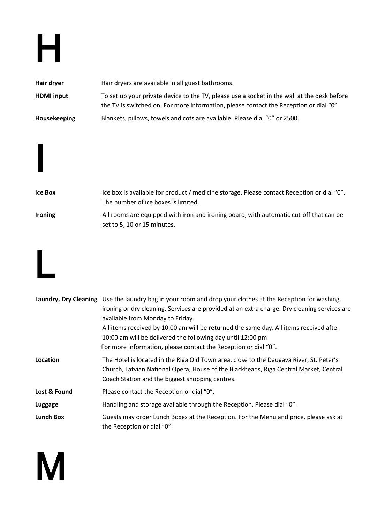## H

| Hair dryer          | Hair dryers are available in all guest bathrooms.                                                                                                                                     |
|---------------------|---------------------------------------------------------------------------------------------------------------------------------------------------------------------------------------|
| <b>HDMI</b> input   | To set up your private device to the TV, please use a socket in the wall at the desk before<br>the TV is switched on. For more information, please contact the Reception or dial "0". |
| <b>Housekeeping</b> | Blankets, pillows, towels and cots are available. Please dial "0" or 2500.                                                                                                            |





M

I

|                  | Laundry, Dry Cleaning Use the laundry bag in your room and drop your clothes at the Reception for washing,                                                                                                                          |
|------------------|-------------------------------------------------------------------------------------------------------------------------------------------------------------------------------------------------------------------------------------|
|                  | ironing or dry cleaning. Services are provided at an extra charge. Dry cleaning services are                                                                                                                                        |
|                  | available from Monday to Friday.                                                                                                                                                                                                    |
|                  | All items received by 10:00 am will be returned the same day. All items received after                                                                                                                                              |
|                  | 10:00 am will be delivered the following day until 12:00 pm                                                                                                                                                                         |
|                  | For more information, please contact the Reception or dial "0".                                                                                                                                                                     |
| Location         | The Hotel is located in the Riga Old Town area, close to the Daugava River, St. Peter's<br>Church, Latvian National Opera, House of the Blackheads, Riga Central Market, Central<br>Coach Station and the biggest shopping centres. |
| Lost & Found     | Please contact the Reception or dial "0".                                                                                                                                                                                           |
| Luggage          | Handling and storage available through the Reception. Please dial "0".                                                                                                                                                              |
| <b>Lunch Box</b> | Guests may order Lunch Boxes at the Reception. For the Menu and price, please ask at<br>the Reception or dial "0".                                                                                                                  |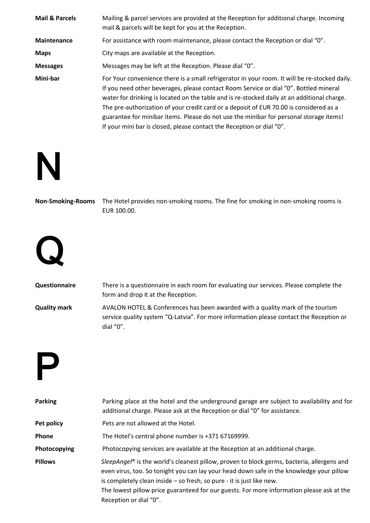| <b>Mail &amp; Parcels</b> | Mailing & parcel services are provided at the Reception for additional charge. Incoming<br>mail & parcels will be kept for you at the Reception.                                                                                                                                                                                                                                                                                                                                                                                                   |
|---------------------------|----------------------------------------------------------------------------------------------------------------------------------------------------------------------------------------------------------------------------------------------------------------------------------------------------------------------------------------------------------------------------------------------------------------------------------------------------------------------------------------------------------------------------------------------------|
| <b>Maintenance</b>        | For assistance with room maintenance, please contact the Reception or dial "0".                                                                                                                                                                                                                                                                                                                                                                                                                                                                    |
| <b>Maps</b>               | City maps are available at the Reception.                                                                                                                                                                                                                                                                                                                                                                                                                                                                                                          |
| <b>Messages</b>           | Messages may be left at the Reception. Please dial "0".                                                                                                                                                                                                                                                                                                                                                                                                                                                                                            |
| Mini-bar                  | For Your convenience there is a small refrigerator in your room. It will be re-stocked daily.<br>If you need other beverages, please contact Room Service or dial "0". Bottled mineral<br>water for drinking is located on the table and is re-stocked daily at an additional charge.<br>The pre-authorization of your credit card or a deposit of EUR 70.00 is considered as a<br>guarantee for minibar items. Please do not use the minibar for personal storage items!<br>If your mini bar is closed, please contact the Reception or dial "0". |



**Non-Smoking-Rooms** The Hotel provides non-smoking rooms. The fine for smoking in non-smoking rooms is EUR 100.00.



| <b>Questionnaire</b> | There is a questionnaire in each room for evaluating our services. Please complete the  |
|----------------------|-----------------------------------------------------------------------------------------|
|                      | form and drop it at the Reception.                                                      |
| <b>Quality mark</b>  | AVALON HOTEL & Conferences has been awarded with a quality mark of the tourism          |
|                      | service quality system "Q-Latvia". For more information please contact the Reception or |
|                      | dial " $0$ ".                                                                           |

P

| <b>Parking</b> | Parking place at the hotel and the underground garage are subject to availability and for<br>additional charge. Please ask at the Reception or dial "0" for assistance.                                                                                                                                                                                                                |
|----------------|----------------------------------------------------------------------------------------------------------------------------------------------------------------------------------------------------------------------------------------------------------------------------------------------------------------------------------------------------------------------------------------|
| Pet policy     | Pets are not allowed at the Hotel.                                                                                                                                                                                                                                                                                                                                                     |
| Phone          | The Hotel's central phone number is +371 67169999.                                                                                                                                                                                                                                                                                                                                     |
| Photocopying   | Photocopying services are available at the Reception at an additional charge.                                                                                                                                                                                                                                                                                                          |
| <b>Pillows</b> | SleepAngel® is the world's cleanest pillow, proven to block germs, bacteria, allergens and<br>even virus, too. So tonight you can lay your head down safe in the knowledge your pillow<br>is completely clean inside – so fresh, so pure - it is just like new.<br>The lowest pillow price guaranteed for our guests. For more information please ask at the<br>Reception or dial "0". |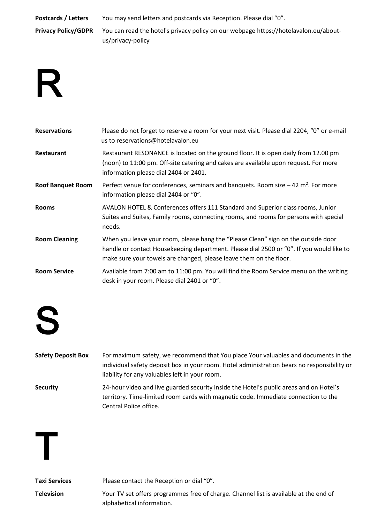**Postcards / Letters** You may send letters and postcards via Reception. Please dial "0". **Privacy Policy/GDPR** You can read the hotel's privacy policy on our webpage https://hotelavalon.eu/aboutus/privacy-policy

### R

| <b>Reservations</b>      | Please do not forget to reserve a room for your next visit. Please dial 2204, "0" or e-mail<br>us to reservations@hotelavalon.eu                                                                                                                    |
|--------------------------|-----------------------------------------------------------------------------------------------------------------------------------------------------------------------------------------------------------------------------------------------------|
| <b>Restaurant</b>        | Restaurant RESONANCE is located on the ground floor. It is open daily from 12.00 pm<br>(noon) to 11:00 pm. Off-site catering and cakes are available upon request. For more<br>information please dial 2404 or 2401.                                |
| <b>Roof Banquet Room</b> | Perfect venue for conferences, seminars and banquets. Room size $-42$ m <sup>2</sup> . For more<br>information please dial 2404 or "0".                                                                                                             |
| <b>Rooms</b>             | AVALON HOTEL & Conferences offers 111 Standard and Superior class rooms, Junior<br>Suites and Suites, Family rooms, connecting rooms, and rooms for persons with special<br>needs.                                                                  |
| <b>Room Cleaning</b>     | When you leave your room, please hang the "Please Clean" sign on the outside door<br>handle or contact Housekeeping department. Please dial 2500 or "0". If you would like to<br>make sure your towels are changed, please leave them on the floor. |
| <b>Room Service</b>      | Available from 7:00 am to 11:00 pm. You will find the Room Service menu on the writing<br>desk in your room. Please dial 2401 or "0".                                                                                                               |



| <b>Safety Deposit Box</b> | For maximum safety, we recommend that You place Your valuables and documents in the         |
|---------------------------|---------------------------------------------------------------------------------------------|
|                           | individual safety deposit box in your room. Hotel administration bears no responsibility or |
|                           | liability for any valuables left in your room.                                              |
| <b>Security</b>           | 24-hour video and live guarded security inside the Hotel's public areas and on Hotel's      |

territory. Time-limited room cards with magnetic code. Immediate connection to the Central Police office.

T

**Taxi Services** Please contact the Reception or dial "0".

**Television** Your TV set offers programmes free of charge. Channel list is available at the end of alphabetical information.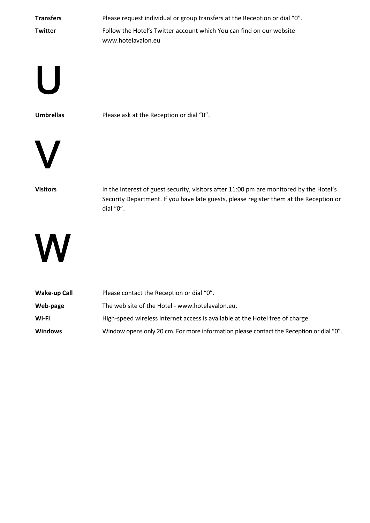| <b>Transfers</b> | Please request individual or group transfers at the Reception or dial "0".                 |
|------------------|--------------------------------------------------------------------------------------------|
| <b>Twitter</b>   | Follow the Hotel's Twitter account which You can find on our website<br>www.hotelavalon.eu |

U

**Umbrellas** Please ask at the Reception or dial "0".



Visitors **In the interest of guest security, visitors after 11:00 pm are monitored by the Hotel's** Security Department. If you have late guests, please register them at the Reception or dial "0".



| Wake-up Call   | Please contact the Reception or dial "0".                                               |
|----------------|-----------------------------------------------------------------------------------------|
| Web-page       | The web site of the Hotel - www.hotelavalon.eu.                                         |
| Wi-Fi          | High-speed wireless internet access is available at the Hotel free of charge.           |
| <b>Windows</b> | Window opens only 20 cm. For more information please contact the Reception or dial "0". |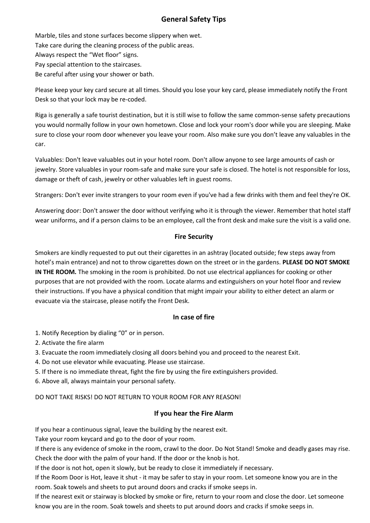### **General Safety Tips**

Marble, tiles and stone surfaces become slippery when wet. Take care during the cleaning process of the public areas. Always respect the "Wet floor" signs. Pay special attention to the staircases. Be careful after using your shower or bath.

Please keep your key card secure at all times. Should you lose your key card, please immediately notify the Front Desk so that your lock may be re-coded.

Riga is generally a safe tourist destination, but it is still wise to follow the same common-sense safety precautions you would normally follow in your own hometown. Close and lock your room's door while you are sleeping. Make sure to close your room door whenever you leave your room. Also make sure you don't leave any valuables in the car.

Valuables: Don't leave valuables out in your hotel room. Don't allow anyone to see large amounts of cash or jewelry. Store valuables in your room-safe and make sure your safe is closed. The hotel is not responsible for loss, damage or theft of cash, jewelry or other valuables left in guest rooms.

Strangers: Don't ever invite strangers to your room even if you've had a few drinks with them and feel they're OK.

Answering door: Don't answer the door without verifying who it is through the viewer. Remember that hotel staff wear uniforms, and if a person claims to be an employee, call the front desk and make sure the visit is a valid one.

### **Fire Security**

Smokers are kindly requested to put out their cigarettes in an ashtray (located outside; few steps away from hotel's main entrance) and not to throw cigarettes down on the street or in the gardens. **PLEASE DO NOT SMOKE IN THE ROOM.** The smoking in the room is prohibited. Do not use electrical appliances for cooking or other purposes that are not provided with the room. Locate alarms and extinguishers on your hotel floor and review their instructions. If you have a physical condition that might impair your ability to either detect an alarm or evacuate via the staircase, please notify the Front Desk.

### **In case of fire**

- 1. Notify Reception by dialing "0" or in person.
- 2. Activate the fire alarm
- 3. Evacuate the room immediately closing all doors behind you and proceed to the nearest Exit.
- 4. Do not use elevator while evacuating. Please use staircase.
- 5. If there is no immediate threat, fight the fire by using the fire extinguishers provided.
- 6. Above all, always maintain your personal safety.

DO NOT TAKE RISKS! DO NOT RETURN TO YOUR ROOM FOR ANY REASON!

### **If you hear the Fire Alarm**

If you hear a continuous signal, leave the building by the nearest exit.

Take your room keycard and go to the door of your room.

If there is any evidence of smoke in the room, crawl to the door. Do Not Stand! Smoke and deadly gases may rise. Check the door with the palm of your hand. If the door or the knob is hot.

If the door is not hot, open it slowly, but be ready to close it immediately if necessary.

If the Room Door is Hot, leave it shut - it may be safer to stay in your room. Let someone know you are in the room. Soak towels and sheets to put around doors and cracks if smoke seeps in.

If the nearest exit or stairway is blocked by smoke or fire, return to your room and close the door. Let someone know you are in the room. Soak towels and sheets to put around doors and cracks if smoke seeps in.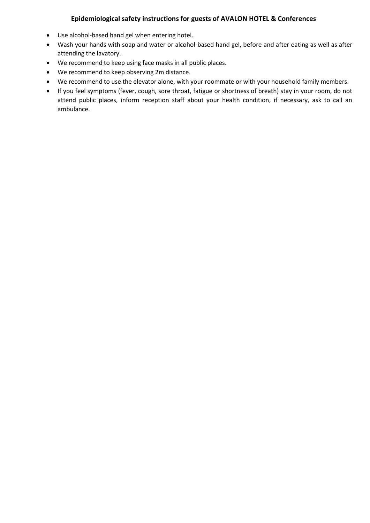### **Epidemiological safety instructions for guests of AVALON HOTEL & Conferences**

- Use alcohol-based hand gel when entering hotel.
- Wash your hands with soap and water or alcohol-based hand gel, before and after eating as well as after attending the lavatory.
- We recommend to keep using face masks in all public places.
- We recommend to keep observing 2m distance.
- We recommend to use the elevator alone, with your roommate or with your household family members.
- If you feel symptoms (fever, cough, sore throat, fatigue or shortness of breath) stay in your room, do not attend public places, inform reception staff about your health condition, if necessary, ask to call an ambulance.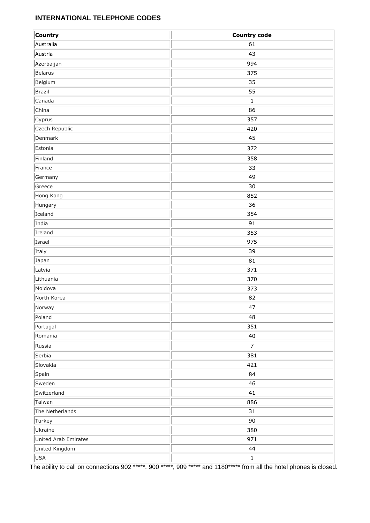### **INTERNATIONAL TELEPHONE CODES**

| Country              | <b>Country code</b> |
|----------------------|---------------------|
| Australia            | 61                  |
| Austria              | 43                  |
| Azerbaijan           | 994                 |
| Belarus              | 375                 |
| Belgium              | 35                  |
| Brazil               | 55                  |
| Canada               | $\mathbf{1}$        |
| China                | 86                  |
| Cyprus               | 357                 |
| Czech Republic       | 420                 |
| Denmark              | 45                  |
| Estonia              | 372                 |
| Finland              | 358                 |
| France               | 33                  |
| Germany              | 49                  |
| Greece               | 30                  |
| Hong Kong            | 852                 |
| Hungary              | 36                  |
| Iceland              | 354                 |
| India                | 91                  |
| Ireland              | 353                 |
| Israel               | 975                 |
| Italy                | 39                  |
| Japan                | 81                  |
| Latvia               | 371                 |
| Lithuania            | 370                 |
| Moldova              | 373                 |
| North Korea          | 82                  |
| Norway               | 47                  |
| Poland               | 48                  |
| Portugal             | 351                 |
| Romania              | 40                  |
| Russia               | $\overline{7}$      |
| Serbia               | 381                 |
| Slovakia             | 421                 |
| Spain                | 84                  |
| Sweden               | 46                  |
| Switzerland          | 41                  |
| Taiwan               | 886                 |
| The Netherlands      | 31                  |
| Turkey               | 90                  |
| Ukraine              | 380                 |
| United Arab Emirates | 971                 |
| United Kingdom       | 44                  |
| USA                  | $\mathbf 1$         |

The ability to call on connections 902 \*\*\*\*\*, 900 \*\*\*\*\*, 909 \*\*\*\*\* and 1180\*\*\*\*\* from all the hotel phones is closed.